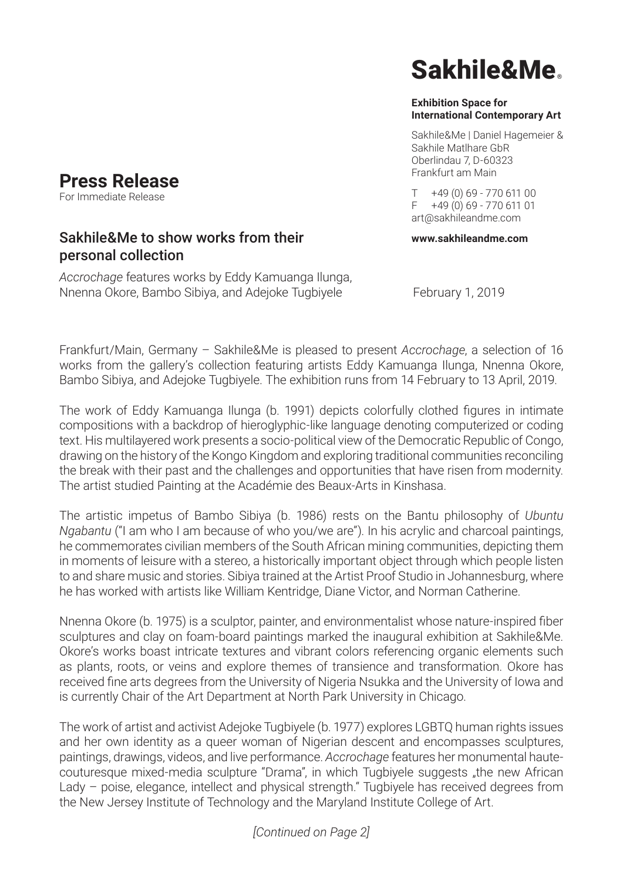#### **Exhibition Space for International Contemporary Art**

Sakhile&Me | Daniel Hagemeier & Sakhile Matlhare GbR Oberlindau 7, D-60323 Frankfurt am Main

 $T + 49(0)69 - 77061100$ F +49 (0) 69 - 770 611 01 art@sakhileandme.com

### **www.sakhileandme.com**

*Accrochage* features works by Eddy Kamuanga Ilunga, Nnenna Okore, Bambo Sibiya, and Adejoke Tugbiyele February 1, 2019

Sakhile&Me to show works from their

Frankfurt/Main, Germany – Sakhile&Me is pleased to present *Accrochage*, a selection of 16 works from the gallery's collection featuring artists Eddy Kamuanga Ilunga, Nnenna Okore, Bambo Sibiya, and Adejoke Tugbiyele. The exhibition runs from 14 February to 13 April, 2019.

The work of Eddy Kamuanga Ilunga (b. 1991) depicts colorfully clothed figures in intimate compositions with a backdrop of hieroglyphic-like language denoting computerized or coding text. His multilayered work presents a socio-political view of the Democratic Republic of Congo, drawing on the history of the Kongo Kingdom and exploring traditional communities reconciling the break with their past and the challenges and opportunities that have risen from modernity. The artist studied Painting at the Académie des Beaux-Arts in Kinshasa.

The artistic impetus of Bambo Sibiya (b. 1986) rests on the Bantu philosophy of *Ubuntu Ngabantu* ("I am who I am because of who you/we are"). In his acrylic and charcoal paintings, he commemorates civilian members of the South African mining communities, depicting them in moments of leisure with a stereo, a historically important object through which people listen to and share music and stories. Sibiya trained at the Artist Proof Studio in Johannesburg, where he has worked with artists like William Kentridge, Diane Victor, and Norman Catherine.

Nnenna Okore (b. 1975) is a sculptor, painter, and environmentalist whose nature-inspired fiber sculptures and clay on foam-board paintings marked the inaugural exhibition at Sakhile&Me. Okore's works boast intricate textures and vibrant colors referencing organic elements such as plants, roots, or veins and explore themes of transience and transformation. Okore has received fine arts degrees from the University of Nigeria Nsukka and the University of Iowa and is currently Chair of the Art Department at North Park University in Chicago.

The work of artist and activist Adejoke Tugbiyele (b. 1977) explores LGBTQ human rights issues and her own identity as a queer woman of Nigerian descent and encompasses sculptures, paintings, drawings, videos, and live performance. *Accrochage* features her monumental hautecouturesque mixed-media sculpture "Drama", in which Tugbiyele suggests "the new African Lady – poise, elegance, intellect and physical strength." Tugbiyele has received degrees from the New Jersey Institute of Technology and the Maryland Institute College of Art.



personal collection